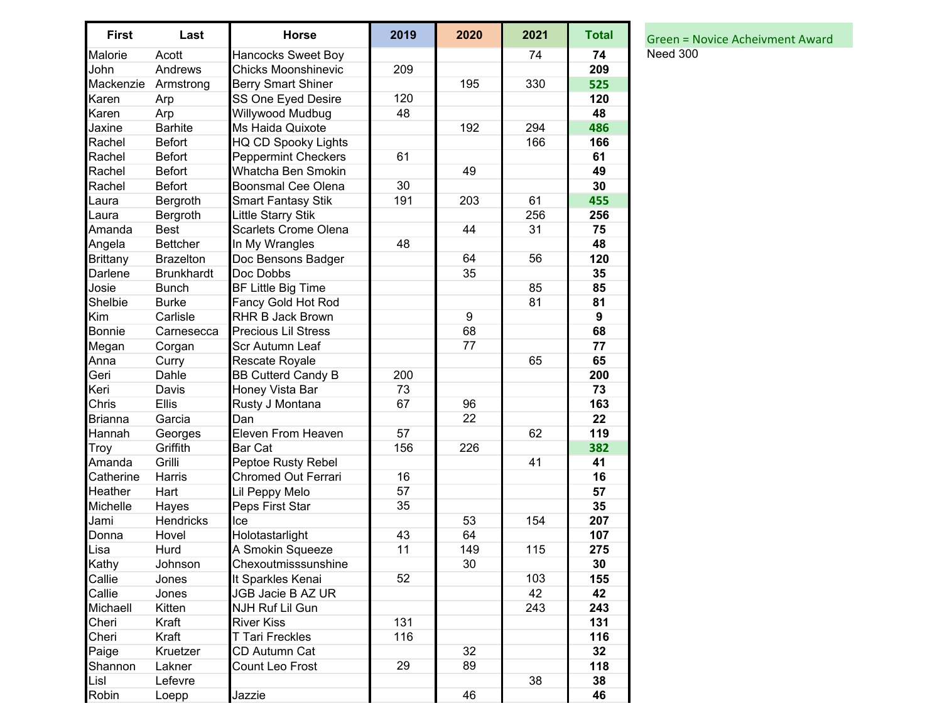| <b>First</b>    | Last              | <b>Horse</b>                | 2019 | 2020 | 2021 | <b>Total</b>     |
|-----------------|-------------------|-----------------------------|------|------|------|------------------|
| Malorie         | Acott             | Hancocks Sweet Boy          |      |      | 74   | 74               |
| John            | Andrews           | <b>Chicks Moonshinevic</b>  | 209  |      |      | 209              |
| Mackenzie       | Armstrong         | <b>Berry Smart Shiner</b>   |      | 195  | 330  | 525              |
| Karen           | Arp               | SS One Eyed Desire          | 120  |      |      | 120              |
| Karen           | Arp               | Willywood Mudbug            | 48   |      |      | 48               |
| Jaxine          | <b>Barhite</b>    | Ms Haida Quixote            |      | 192  | 294  | 486              |
| Rachel          | <b>Befort</b>     | <b>HQ CD Spooky Lights</b>  |      |      | 166  | 166              |
| Rachel          | <b>Befort</b>     | <b>Peppermint Checkers</b>  | 61   |      |      | 61               |
| Rachel          | <b>Befort</b>     | Whatcha Ben Smokin          |      | 49   |      | 49               |
| Rachel          | <b>Befort</b>     | <b>Boonsmal Cee Olena</b>   | 30   |      |      | 30               |
| Laura           | Bergroth          | <b>Smart Fantasy Stik</b>   | 191  | 203  | 61   | 455              |
| Laura           | Bergroth          | Little Starry Stik          |      |      | 256  | 256              |
| Amanda          | <b>Best</b>       | <b>Scarlets Crome Olena</b> |      | 44   | 31   | 75               |
| Angela          | <b>Bettcher</b>   | In My Wrangles              | 48   |      |      | 48               |
| <b>Brittany</b> | <b>Brazelton</b>  | Doc Bensons Badger          |      | 64   | 56   | 120              |
| Darlene         | <b>Brunkhardt</b> | Doc Dobbs                   |      | 35   |      | 35               |
| Josie           | <b>Bunch</b>      | <b>BF Little Big Time</b>   |      |      | 85   | 85               |
| Shelbie         | <b>Burke</b>      | Fancy Gold Hot Rod          |      |      | 81   | 81               |
| Kim             | Carlisle          | <b>RHR B Jack Brown</b>     |      | 9    |      | $\boldsymbol{9}$ |
| <b>Bonnie</b>   | Carnesecca        | <b>Precious Lil Stress</b>  |      | 68   |      | 68               |
| Megan           | Corgan            | Scr Autumn Leaf             |      | 77   |      | 77               |
| Anna            | Curry             | Rescate Royale              |      |      | 65   | 65               |
| Geri            | Dahle             | <b>BB Cutterd Candy B</b>   | 200  |      |      | 200              |
| Keri            | Davis             | Honey Vista Bar             | 73   |      |      | 73               |
| Chris           | Ellis             | Rusty J Montana             | 67   | 96   |      | 163              |
| <b>Brianna</b>  | Garcia            | Dan                         |      | 22   |      | 22               |
| Hannah          | Georges           | Eleven From Heaven          | 57   |      | 62   | 119              |
| Troy            | Griffith          | <b>Bar Cat</b>              | 156  | 226  |      | 382              |
| Amanda          | Grilli            | Peptoe Rusty Rebel          |      |      | 41   | 41               |
| Catherine       | Harris            | <b>Chromed Out Ferrari</b>  | 16   |      |      | 16               |
| Heather         | Hart              | Lil Peppy Melo              | 57   |      |      | 57               |
| Michelle        | Hayes             | Peps First Star             | 35   |      |      | 35               |
| Jami            | Hendricks         | Ice                         |      | 53   | 154  | 207              |
| Donna           | Hovel             | Holotastarlight             | 43   | 64   |      | 107              |
| Lisa            | Hurd              | A Smokin Squeeze            | 11   | 149  | 115  | 275              |
| Kathy           | Johnson           | Chexoutmisssunshine         |      | 30   |      | 30               |
| Callie          | Jones             | It Sparkles Kenai           | 52   |      | 103  | 155              |
| Callie          | Jones             | JGB Jacie B AZ UR           |      |      | 42   | 42               |
| Michaell        | Kitten            | <b>NJH Ruf Lil Gun</b>      |      |      | 243  | 243              |
| Cheri           | Kraft             | <b>River Kiss</b>           | 131  |      |      | 131              |
| Cheri           | Kraft             | <b>T Tari Freckles</b>      | 116  |      |      | 116              |
| Paige           | Kruetzer          | CD Autumn Cat               |      | 32   |      | 32               |
| Shannon         | Lakner            | Count Leo Frost             | 29   | 89   |      | 118              |
| Lisl            | Lefevre           |                             |      |      | 38   | 38               |
| Robin           | Loepp             | Jazzie                      |      | 46   |      | 46               |

**1** Total Green = Novice Acheivment Award **Need 300**